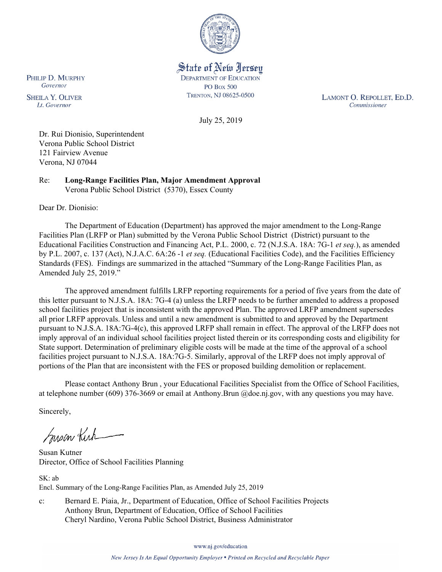

State of New Jersey **DEPARTMENT OF EDUCATION PO Box 500** TRENTON, NJ 08625-0500

LAMONT O. REPOLLET, ED.D. Commissioner

July 25, 2019

Dr. Rui Dionisio, Superintendent Verona Public School District 121 Fairview Avenue Verona, NJ 07044

Re: **Long-Range Facilities Plan, Major Amendment Approval** Verona Public School District (5370), Essex County

Dear Dr. Dionisio:

The Department of Education (Department) has approved the major amendment to the Long-Range Facilities Plan (LRFP or Plan) submitted by the Verona Public School District (District) pursuant to the Educational Facilities Construction and Financing Act, P.L. 2000, c. 72 (N.J.S.A. 18A: 7G-1 *et seq.*), as amended by P.L. 2007, c. 137 (Act), N.J.A.C. 6A:26 -1 *et seq.* (Educational Facilities Code), and the Facilities Efficiency Standards (FES). Findings are summarized in the attached "Summary of the Long-Range Facilities Plan, as Amended July 25, 2019."

The approved amendment fulfills LRFP reporting requirements for a period of five years from the date of this letter pursuant to N.J.S.A. 18A: 7G-4 (a) unless the LRFP needs to be further amended to address a proposed school facilities project that is inconsistent with the approved Plan. The approved LRFP amendment supersedes all prior LRFP approvals. Unless and until a new amendment is submitted to and approved by the Department pursuant to N.J.S.A. 18A:7G-4(c), this approved LRFP shall remain in effect. The approval of the LRFP does not imply approval of an individual school facilities project listed therein or its corresponding costs and eligibility for State support. Determination of preliminary eligible costs will be made at the time of the approval of a school facilities project pursuant to N.J.S.A. 18A:7G-5. Similarly, approval of the LRFP does not imply approval of portions of the Plan that are inconsistent with the FES or proposed building demolition or replacement.

Please contact Anthony Brun , your Educational Facilities Specialist from the Office of School Facilities, at telephone number (609) 376-3669 or email at Anthony.Brun @doe.nj.gov, with any questions you may have.

Sincerely,

Susan Kich

Susan Kutner Director, Office of School Facilities Planning

SK: ab Encl. Summary of the Long-Range Facilities Plan, as Amended July 25, 2019

c: Bernard E. Piaia, Jr., Department of Education, Office of School Facilities Projects Anthony Brun, Department of Education, Office of School Facilities Cheryl Nardino, Verona Public School District, Business Administrator

www.nj.gov/education

PHILIP D. MURPHY Governor

**SHEILA Y. OLIVER** Lt. Governor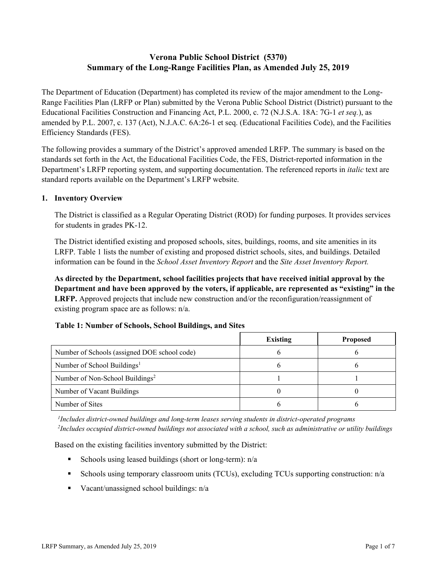# **Verona Public School District (5370) Summary of the Long-Range Facilities Plan, as Amended July 25, 2019**

The Department of Education (Department) has completed its review of the major amendment to the Long-Range Facilities Plan (LRFP or Plan) submitted by the Verona Public School District (District) pursuant to the Educational Facilities Construction and Financing Act, P.L. 2000, c. 72 (N.J.S.A. 18A: 7G-1 *et seq.*), as amended by P.L. 2007, c. 137 (Act), N.J.A.C. 6A:26-1 et seq. (Educational Facilities Code), and the Facilities Efficiency Standards (FES).

The following provides a summary of the District's approved amended LRFP. The summary is based on the standards set forth in the Act, the Educational Facilities Code, the FES, District-reported information in the Department's LRFP reporting system, and supporting documentation. The referenced reports in *italic* text are standard reports available on the Department's LRFP website.

### **1. Inventory Overview**

The District is classified as a Regular Operating District (ROD) for funding purposes. It provides services for students in grades PK-12.

The District identified existing and proposed schools, sites, buildings, rooms, and site amenities in its LRFP. Table 1 lists the number of existing and proposed district schools, sites, and buildings. Detailed information can be found in the *School Asset Inventory Report* and the *Site Asset Inventory Report.*

**As directed by the Department, school facilities projects that have received initial approval by the Department and have been approved by the voters, if applicable, are represented as "existing" in the LRFP.** Approved projects that include new construction and/or the reconfiguration/reassignment of existing program space are as follows: n/a.

### **Table 1: Number of Schools, School Buildings, and Sites**

|                                              | <b>Existing</b> | <b>Proposed</b> |
|----------------------------------------------|-----------------|-----------------|
| Number of Schools (assigned DOE school code) |                 |                 |
| Number of School Buildings <sup>1</sup>      |                 |                 |
| Number of Non-School Buildings <sup>2</sup>  |                 |                 |
| Number of Vacant Buildings                   |                 |                 |
| Number of Sites                              |                 |                 |

*1 Includes district-owned buildings and long-term leases serving students in district-operated programs 2 Includes occupied district-owned buildings not associated with a school, such as administrative or utility buildings*

Based on the existing facilities inventory submitted by the District:

- Schools using leased buildings (short or long-term):  $n/a$
- Schools using temporary classroom units (TCUs), excluding TCUs supporting construction: n/a
- Vacant/unassigned school buildings:  $n/a$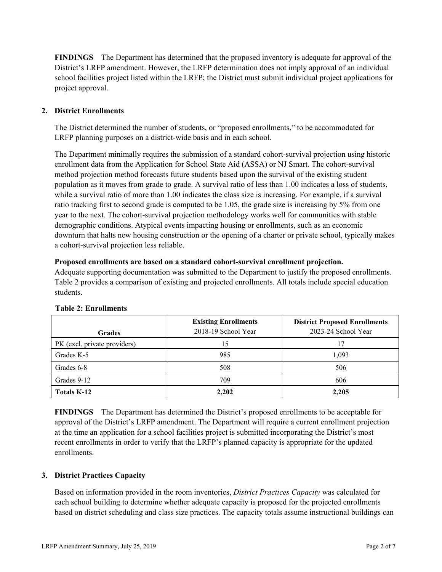**FINDINGS** The Department has determined that the proposed inventory is adequate for approval of the District's LRFP amendment. However, the LRFP determination does not imply approval of an individual school facilities project listed within the LRFP; the District must submit individual project applications for project approval.

# **2. District Enrollments**

The District determined the number of students, or "proposed enrollments," to be accommodated for LRFP planning purposes on a district-wide basis and in each school.

The Department minimally requires the submission of a standard cohort-survival projection using historic enrollment data from the Application for School State Aid (ASSA) or NJ Smart. The cohort-survival method projection method forecasts future students based upon the survival of the existing student population as it moves from grade to grade. A survival ratio of less than 1.00 indicates a loss of students, while a survival ratio of more than 1.00 indicates the class size is increasing. For example, if a survival ratio tracking first to second grade is computed to be 1.05, the grade size is increasing by 5% from one year to the next. The cohort-survival projection methodology works well for communities with stable demographic conditions. Atypical events impacting housing or enrollments, such as an economic downturn that halts new housing construction or the opening of a charter or private school, typically makes a cohort-survival projection less reliable.

### **Proposed enrollments are based on a standard cohort-survival enrollment projection.**

Adequate supporting documentation was submitted to the Department to justify the proposed enrollments. Table 2 provides a comparison of existing and projected enrollments. All totals include special education students.

| <b>Grades</b>                | <b>Existing Enrollments</b><br>2018-19 School Year | <b>District Proposed Enrollments</b><br>2023-24 School Year |
|------------------------------|----------------------------------------------------|-------------------------------------------------------------|
| PK (excl. private providers) | 15                                                 | 17                                                          |
| Grades K-5                   | 985                                                | 1,093                                                       |
| Grades 6-8                   | 508                                                | 506                                                         |
| Grades 9-12                  | 709                                                | 606                                                         |
| <b>Totals K-12</b>           | 2,202                                              | 2,205                                                       |

### **Table 2: Enrollments**

**FINDINGS** The Department has determined the District's proposed enrollments to be acceptable for approval of the District's LRFP amendment. The Department will require a current enrollment projection at the time an application for a school facilities project is submitted incorporating the District's most recent enrollments in order to verify that the LRFP's planned capacity is appropriate for the updated enrollments.

### **3. District Practices Capacity**

Based on information provided in the room inventories, *District Practices Capacity* was calculated for each school building to determine whether adequate capacity is proposed for the projected enrollments based on district scheduling and class size practices. The capacity totals assume instructional buildings can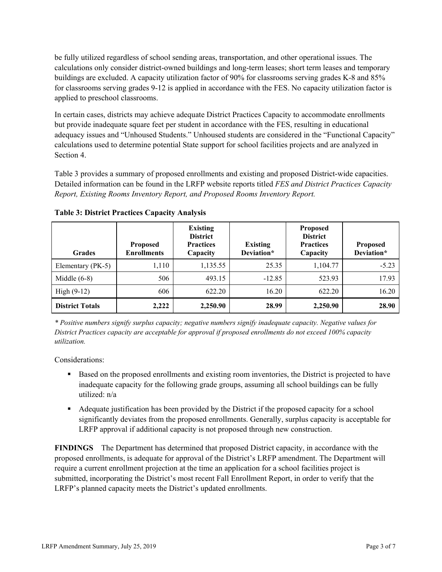be fully utilized regardless of school sending areas, transportation, and other operational issues. The calculations only consider district-owned buildings and long-term leases; short term leases and temporary buildings are excluded. A capacity utilization factor of 90% for classrooms serving grades K-8 and 85% for classrooms serving grades 9-12 is applied in accordance with the FES. No capacity utilization factor is applied to preschool classrooms.

In certain cases, districts may achieve adequate District Practices Capacity to accommodate enrollments but provide inadequate square feet per student in accordance with the FES, resulting in educational adequacy issues and "Unhoused Students." Unhoused students are considered in the "Functional Capacity" calculations used to determine potential State support for school facilities projects and are analyzed in Section 4.

Table 3 provides a summary of proposed enrollments and existing and proposed District-wide capacities. Detailed information can be found in the LRFP website reports titled *FES and District Practices Capacity Report, Existing Rooms Inventory Report, and Proposed Rooms Inventory Report.*

| <b>Grades</b>          | <b>Proposed</b><br><b>Enrollments</b> | <b>Existing</b><br><b>District</b><br><b>Practices</b><br>Capacity | <b>Existing</b><br>Deviation* | <b>Proposed</b><br><b>District</b><br><b>Practices</b><br>Capacity | <b>Proposed</b><br>Deviation* |
|------------------------|---------------------------------------|--------------------------------------------------------------------|-------------------------------|--------------------------------------------------------------------|-------------------------------|
| Elementary (PK-5)      | 1,110                                 | 1,135.55                                                           | 25.35                         | 1,104.77                                                           | $-5.23$                       |
| Middle $(6-8)$         | 506                                   | 493.15                                                             | $-12.85$                      | 523.93                                                             | 17.93                         |
| High $(9-12)$          | 606                                   | 622.20                                                             | 16.20                         | 622.20                                                             | 16.20                         |
| <b>District Totals</b> | 2,222                                 | 2,250.90                                                           | 28.99                         | 2,250.90                                                           | 28.90                         |

**Table 3: District Practices Capacity Analysis**

*\* Positive numbers signify surplus capacity; negative numbers signify inadequate capacity. Negative values for District Practices capacity are acceptable for approval if proposed enrollments do not exceed 100% capacity utilization.*

Considerations:

- Based on the proposed enrollments and existing room inventories, the District is projected to have inadequate capacity for the following grade groups, assuming all school buildings can be fully utilized: n/a
- Adequate justification has been provided by the District if the proposed capacity for a school significantly deviates from the proposed enrollments. Generally, surplus capacity is acceptable for LRFP approval if additional capacity is not proposed through new construction.

**FINDINGS**The Department has determined that proposed District capacity, in accordance with the proposed enrollments, is adequate for approval of the District's LRFP amendment. The Department will require a current enrollment projection at the time an application for a school facilities project is submitted, incorporating the District's most recent Fall Enrollment Report, in order to verify that the LRFP's planned capacity meets the District's updated enrollments.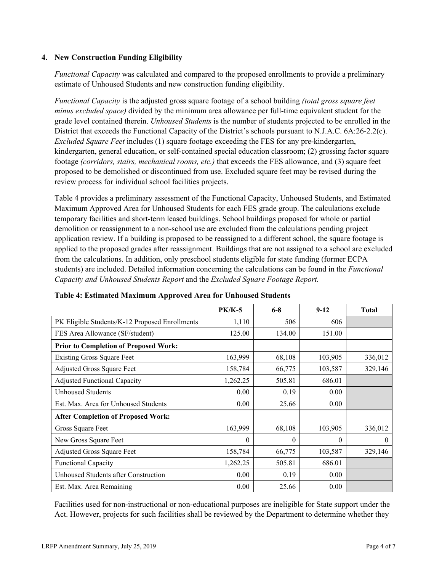### **4. New Construction Funding Eligibility**

*Functional Capacity* was calculated and compared to the proposed enrollments to provide a preliminary estimate of Unhoused Students and new construction funding eligibility.

*Functional Capacity* is the adjusted gross square footage of a school building *(total gross square feet minus excluded space)* divided by the minimum area allowance per full-time equivalent student for the grade level contained therein. *Unhoused Students* is the number of students projected to be enrolled in the District that exceeds the Functional Capacity of the District's schools pursuant to N.J.A.C. 6A:26-2.2(c). *Excluded Square Feet* includes (1) square footage exceeding the FES for any pre-kindergarten, kindergarten, general education, or self-contained special education classroom; (2) grossing factor square footage *(corridors, stairs, mechanical rooms, etc.)* that exceeds the FES allowance, and (3) square feet proposed to be demolished or discontinued from use. Excluded square feet may be revised during the review process for individual school facilities projects.

Table 4 provides a preliminary assessment of the Functional Capacity, Unhoused Students, and Estimated Maximum Approved Area for Unhoused Students for each FES grade group. The calculations exclude temporary facilities and short-term leased buildings. School buildings proposed for whole or partial demolition or reassignment to a non-school use are excluded from the calculations pending project application review. If a building is proposed to be reassigned to a different school, the square footage is applied to the proposed grades after reassignment. Buildings that are not assigned to a school are excluded from the calculations. In addition, only preschool students eligible for state funding (former ECPA students) are included. Detailed information concerning the calculations can be found in the *Functional Capacity and Unhoused Students Report* and the *Excluded Square Footage Report.*

|                                                | $PK/K-5$ | $6 - 8$  | $9-12$   | <b>Total</b> |
|------------------------------------------------|----------|----------|----------|--------------|
| PK Eligible Students/K-12 Proposed Enrollments | 1,110    | 506      | 606      |              |
| FES Area Allowance (SF/student)                | 125.00   | 134.00   | 151.00   |              |
| <b>Prior to Completion of Proposed Work:</b>   |          |          |          |              |
| <b>Existing Gross Square Feet</b>              | 163,999  | 68,108   | 103,905  | 336,012      |
| Adjusted Gross Square Feet                     | 158,784  | 66,775   | 103,587  | 329,146      |
| <b>Adjusted Functional Capacity</b>            | 1,262.25 | 505.81   | 686.01   |              |
| Unhoused Students                              | 0.00     | 0.19     | 0.00     |              |
| Est. Max. Area for Unhoused Students           | 0.00     | 25.66    | 0.00     |              |
| <b>After Completion of Proposed Work:</b>      |          |          |          |              |
| Gross Square Feet                              | 163,999  | 68,108   | 103,905  | 336,012      |
| New Gross Square Feet                          | 0        | $\theta$ | $\theta$ | $\theta$     |
| <b>Adjusted Gross Square Feet</b>              | 158,784  | 66,775   | 103,587  | 329,146      |
| <b>Functional Capacity</b>                     | 1,262.25 | 505.81   | 686.01   |              |
| Unhoused Students after Construction           | 0.00     | 0.19     | 0.00     |              |
| Est. Max. Area Remaining                       | 0.00     | 25.66    | 0.00     |              |

### **Table 4: Estimated Maximum Approved Area for Unhoused Students**

Facilities used for non-instructional or non-educational purposes are ineligible for State support under the Act. However, projects for such facilities shall be reviewed by the Department to determine whether they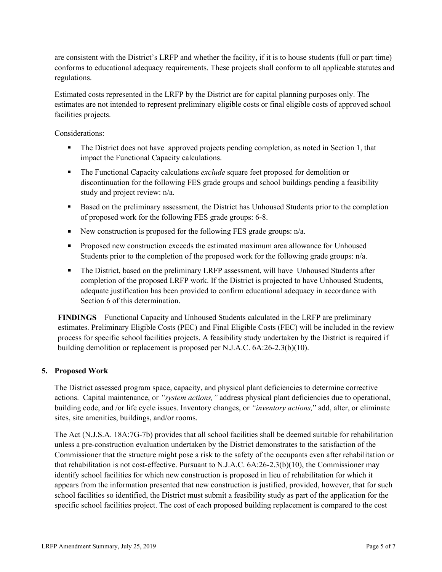are consistent with the District's LRFP and whether the facility, if it is to house students (full or part time) conforms to educational adequacy requirements. These projects shall conform to all applicable statutes and regulations.

Estimated costs represented in the LRFP by the District are for capital planning purposes only. The estimates are not intended to represent preliminary eligible costs or final eligible costs of approved school facilities projects.

Considerations:

- The District does not have approved projects pending completion, as noted in Section 1, that impact the Functional Capacity calculations.
- The Functional Capacity calculations *exclude* square feet proposed for demolition or discontinuation for the following FES grade groups and school buildings pending a feasibility study and project review: n/a.
- Based on the preliminary assessment, the District has Unhoused Students prior to the completion of proposed work for the following FES grade groups: 6-8.
- New construction is proposed for the following FES grade groups:  $n/a$ .
- **Proposed new construction exceeds the estimated maximum area allowance for Unhoused** Students prior to the completion of the proposed work for the following grade groups: n/a.
- The District, based on the preliminary LRFP assessment, will have Unhoused Students after completion of the proposed LRFP work. If the District is projected to have Unhoused Students, adequate justification has been provided to confirm educational adequacy in accordance with Section 6 of this determination.

**FINDINGS** Functional Capacity and Unhoused Students calculated in the LRFP are preliminary estimates. Preliminary Eligible Costs (PEC) and Final Eligible Costs (FEC) will be included in the review process for specific school facilities projects. A feasibility study undertaken by the District is required if building demolition or replacement is proposed per N.J.A.C. 6A:26-2.3(b)(10).

# **5. Proposed Work**

The District assessed program space, capacity, and physical plant deficiencies to determine corrective actions. Capital maintenance, or *"system actions,"* address physical plant deficiencies due to operational, building code, and /or life cycle issues. Inventory changes, or *"inventory actions,*" add, alter, or eliminate sites, site amenities, buildings, and/or rooms.

The Act (N.J.S.A. 18A:7G-7b) provides that all school facilities shall be deemed suitable for rehabilitation unless a pre-construction evaluation undertaken by the District demonstrates to the satisfaction of the Commissioner that the structure might pose a risk to the safety of the occupants even after rehabilitation or that rehabilitation is not cost-effective. Pursuant to N.J.A.C. 6A:26-2.3(b)(10), the Commissioner may identify school facilities for which new construction is proposed in lieu of rehabilitation for which it appears from the information presented that new construction is justified, provided, however, that for such school facilities so identified, the District must submit a feasibility study as part of the application for the specific school facilities project. The cost of each proposed building replacement is compared to the cost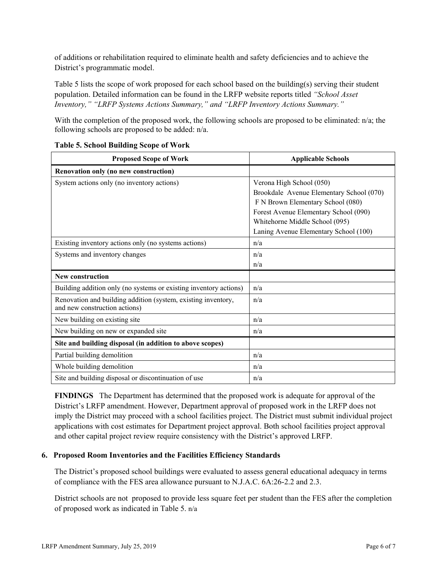of additions or rehabilitation required to eliminate health and safety deficiencies and to achieve the District's programmatic model.

Table 5 lists the scope of work proposed for each school based on the building(s) serving their student population. Detailed information can be found in the LRFP website reports titled *"School Asset Inventory," "LRFP Systems Actions Summary," and "LRFP Inventory Actions Summary."*

With the completion of the proposed work, the following schools are proposed to be eliminated:  $n/a$ ; the following schools are proposed to be added: n/a.

| <b>Proposed Scope of Work</b>                                     | <b>Applicable Schools</b>                |
|-------------------------------------------------------------------|------------------------------------------|
| Renovation only (no new construction)                             |                                          |
| System actions only (no inventory actions)                        | Verona High School (050)                 |
|                                                                   | Brookdale Avenue Elementary School (070) |
|                                                                   | F N Brown Elementary School (080)        |
|                                                                   | Forest Avenue Elementary School (090)    |
|                                                                   | Whitehorne Middle School (095)           |
|                                                                   | Laning Avenue Elementary School (100)    |
| Existing inventory actions only (no systems actions)              | n/a                                      |
| Systems and inventory changes                                     | n/a                                      |
|                                                                   | n/a                                      |
| <b>New construction</b>                                           |                                          |
| Building addition only (no systems or existing inventory actions) | n/a                                      |
| Renovation and building addition (system, existing inventory,     | n/a                                      |
| and new construction actions)                                     |                                          |
| New building on existing site                                     | n/a                                      |
| New building on new or expanded site                              | n/a                                      |
| Site and building disposal (in addition to above scopes)          |                                          |
| Partial building demolition                                       | n/a                                      |
| Whole building demolition                                         | n/a                                      |
| Site and building disposal or discontinuation of use              | n/a                                      |

### **Table 5. School Building Scope of Work**

**FINDINGS** The Department has determined that the proposed work is adequate for approval of the District's LRFP amendment. However, Department approval of proposed work in the LRFP does not imply the District may proceed with a school facilities project. The District must submit individual project applications with cost estimates for Department project approval. Both school facilities project approval and other capital project review require consistency with the District's approved LRFP.

# **6. Proposed Room Inventories and the Facilities Efficiency Standards**

The District's proposed school buildings were evaluated to assess general educational adequacy in terms of compliance with the FES area allowance pursuant to N.J.A.C. 6A:26-2.2 and 2.3.

District schools are not proposed to provide less square feet per student than the FES after the completion of proposed work as indicated in Table 5. n/a